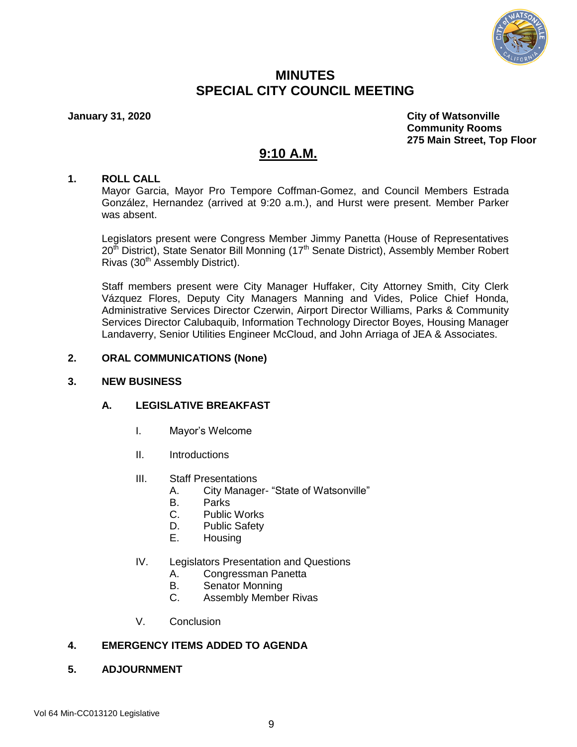

## **MINUTES SPECIAL CITY COUNCIL MEETING**

**January 31, 2020 City of Watsonville Community Rooms 275 Main Street, Top Floor**

# **9:10 A.M.**

#### **1. ROLL CALL**

Mayor Garcia, Mayor Pro Tempore Coffman-Gomez, and Council Members Estrada González, Hernandez (arrived at 9:20 a.m.), and Hurst were present. Member Parker was absent.

Legislators present were Congress Member Jimmy Panetta (House of Representatives  $20<sup>th</sup>$  District), State Senator Bill Monning (17<sup>th</sup> Senate District), Assembly Member Robert Rivas  $(30<sup>th</sup>$  Assembly District).

Staff members present were City Manager Huffaker, City Attorney Smith, City Clerk Vázquez Flores, Deputy City Managers Manning and Vides, Police Chief Honda, Administrative Services Director Czerwin, Airport Director Williams, Parks & Community Services Director Calubaquib, Information Technology Director Boyes, Housing Manager Landaverry, Senior Utilities Engineer McCloud, and John Arriaga of JEA & Associates.

### **2. ORAL COMMUNICATIONS (None)**

#### **3. NEW BUSINESS**

#### **A. LEGISLATIVE BREAKFAST**

- I. Mayor's Welcome
- II. Introductions
- III. Staff Presentations
	- A. City Manager- "State of Watsonville"
	- B. Parks
	- C. Public Works
	- D. Public Safety
	- E. Housing
- IV. Legislators Presentation and Questions
	- A. Congressman Panetta
	- B. Senator Monning
	- C. Assembly Member Rivas
- V. Conclusion

## **4. EMERGENCY ITEMS ADDED TO AGENDA**

**5. ADJOURNMENT**